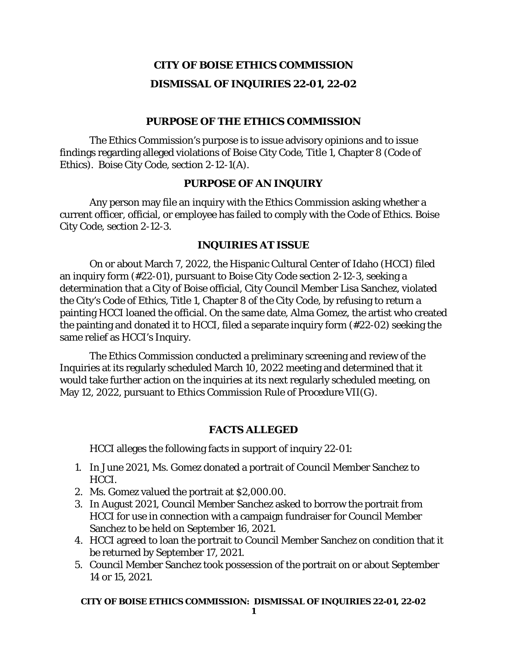# **CITY OF BOISE ETHICS COMMISSION DISMISSAL OF INQUIRIES 22-01, 22-02**

# **PURPOSE OF THE ETHICS COMMISSION**

The Ethics Commission's purpose is to issue advisory opinions and to issue findings regarding alleged violations of Boise City Code, Title 1, Chapter 8 (Code of Ethics). Boise City Code, section 2-12-1(A).

# **PURPOSE OF AN INQUIRY**

Any person may file an inquiry with the Ethics Commission asking whether a current officer, official, or employee has failed to comply with the Code of Ethics. Boise City Code, section 2-12-3.

# **INQUIRIES AT ISSUE**

On or about March 7, 2022, the Hispanic Cultural Center of Idaho (HCCI) filed an inquiry form (#22-01), pursuant to Boise City Code section 2-12-3, seeking a determination that a City of Boise official, City Council Member Lisa Sanchez, violated the City's Code of Ethics, Title 1, Chapter 8 of the City Code, by refusing to return a painting HCCI loaned the official. On the same date, Alma Gomez, the artist who created the painting and donated it to HCCI, filed a separate inquiry form (#22-02) seeking the same relief as HCCI's Inquiry.

The Ethics Commission conducted a preliminary screening and review of the Inquiries at its regularly scheduled March 10, 2022 meeting and determined that it would take further action on the inquiries at its next regularly scheduled meeting, on May 12, 2022, pursuant to Ethics Commission Rule of Procedure VII(G).

## **FACTS ALLEGED**

HCCI alleges the following facts in support of inquiry 22-01:

- 1. In June 2021, Ms. Gomez donated a portrait of Council Member Sanchez to HCCI.
- 2. Ms. Gomez valued the portrait at \$2,000.00.
- 3. In August 2021, Council Member Sanchez asked to borrow the portrait from HCCI for use in connection with a campaign fundraiser for Council Member Sanchez to be held on September 16, 2021.
- 4. HCCI agreed to loan the portrait to Council Member Sanchez on condition that it be returned by September 17, 2021.
- 5. Council Member Sanchez took possession of the portrait on or about September 14 or 15, 2021.

#### **CITY OF BOISE ETHICS COMMISSION: DISMISSAL OF INQUIRIES 22-01, 22-02**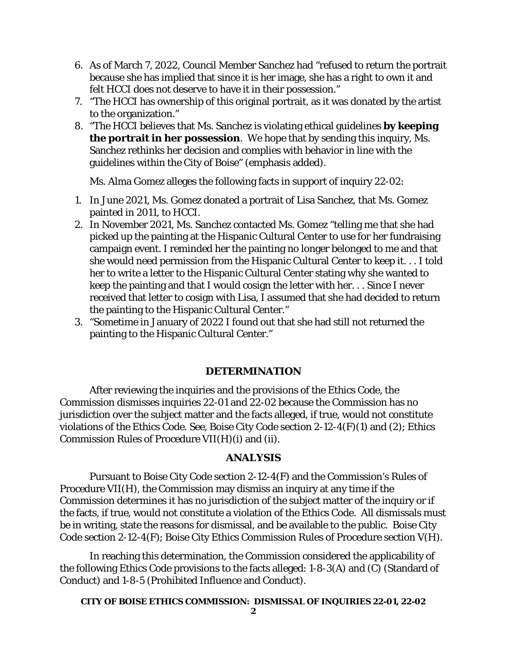- 6. As of March 7, 2022, Council Member Sanchez had "refused to return the portrait because she has implied that since it is her image, she has a right to own it and felt HCCI does not deserve to have it in their possession."
- 7. "The HCCI has ownership of this original portrait, as it was donated by the artist to the organization."
- 8. "The HCCI believes that Ms. Sanchez is violating ethical guidelines **by keeping the portrait in her possession**. We hope that by sending this inquiry, Ms. Sanchez rethinks her decision and complies with behavior in line with the guidelines within the City of Boise" (emphasis added).

Ms. Alma Gomez alleges the following facts in support of inquiry 22-02:

- 1. In June 2021, Ms. Gomez donated a portrait of Lisa Sanchez, that Ms. Gomez painted in 2011, to HCCI.
- 2. In November 2021, Ms. Sanchez contacted Ms. Gomez "telling me that she had picked up the painting at the Hispanic Cultural Center to use for her fundraising campaign event. I reminded her the painting no longer belonged to me and that she would need permission from the Hispanic Cultural Center to keep it. . . I told her to write a letter to the Hispanic Cultural Center stating why she wanted to keep the painting and that I would cosign the letter with her. . . Since I never received that letter to cosign with Lisa, I assumed that she had decided to return the painting to the Hispanic Cultural Center."
- 3. "Sometime in January of 2022 I found out that she had still not returned the painting to the Hispanic Cultural Center."

## **DETERMINATION**

After reviewing the inquiries and the provisions of the Ethics Code, the Commission dismisses inquiries 22-01 and 22-02 because the Commission has no jurisdiction over the subject matter and the facts alleged, if true, would not constitute violations of the Ethics Code. *See*, Boise City Code section 2-12-4(F)(1) and (2); Ethics Commission Rules of Procedure VII(H)(i) and (ii).

## **ANALYSIS**

Pursuant to Boise City Code section 2-12-4(F) and the Commission's Rules of Procedure VII(H), the Commission may dismiss an inquiry at any time if the Commission determines it has no jurisdiction of the subject matter of the inquiry or if the facts, if true, would not constitute a violation of the Ethics Code. All dismissals must be in writing, state the reasons for dismissal, and be available to the public. Boise City Code section 2-12-4(F); Boise City Ethics Commission Rules of Procedure section V(H).

In reaching this determination, the Commission considered the applicability of the following Ethics Code provisions to the facts alleged: 1-8-3(A) and (C) (Standard of Conduct) and 1-8-5 (Prohibited Influence and Conduct).

**CITY OF BOISE ETHICS COMMISSION: DISMISSAL OF INQUIRIES 22-01, 22-02**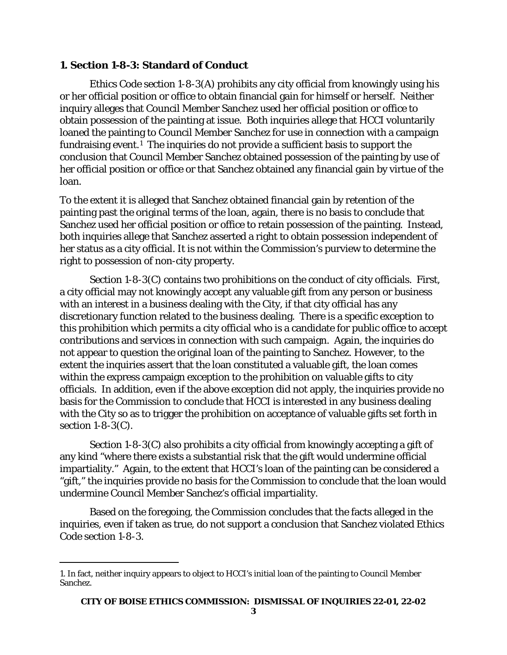# **1. Section 1-8-3: Standard of Conduct**

Ethics Code section 1-8-3(A) prohibits any city official from knowingly using his or her official position or office to obtain financial gain for himself or herself. Neither inquiry alleges that Council Member Sanchez used her official position or office to obtain possession of the painting at issue. Both inquiries allege that HCCI voluntarily loaned the painting to Council Member Sanchez for use in connection with a campaign fundraising event.[1](#page-2-0) The inquiries do not provide a sufficient basis to support the conclusion that Council Member Sanchez obtained possession of the painting by use of her official position or office or that Sanchez obtained any financial gain by virtue of the loan.

To the extent it is alleged that Sanchez obtained financial gain by retention of the painting past the original terms of the loan, again, there is no basis to conclude that Sanchez used her official position or office to retain possession of the painting. Instead, both inquiries allege that Sanchez asserted a right to obtain possession independent of her status as a city official. It is not within the Commission's purview to determine the right to possession of non-city property.

Section 1-8-3(C) contains two prohibitions on the conduct of city officials. First, a city official may not knowingly accept any valuable gift from any person or business with an interest in a business dealing with the City, if that city official has any discretionary function related to the business dealing. There is a specific exception to this prohibition which permits a city official who is a candidate for public office to accept contributions and services in connection with such campaign. Again, the inquiries do not appear to question the original loan of the painting to Sanchez. However, to the extent the inquiries assert that the loan constituted a valuable gift, the loan comes within the express campaign exception to the prohibition on valuable gifts to city officials. In addition, even if the above exception did not apply, the inquiries provide no basis for the Commission to conclude that HCCI is interested in any business dealing with the City so as to trigger the prohibition on acceptance of valuable gifts set forth in section 1-8-3(C).

Section 1-8-3(C) also prohibits a city official from knowingly accepting a gift of any kind "where there exists a substantial risk that the gift would undermine official impartiality." Again, to the extent that HCCI's loan of the painting can be considered a "gift," the inquiries provide no basis for the Commission to conclude that the loan would undermine Council Member Sanchez's official impartiality.

Based on the foregoing, the Commission concludes that the facts alleged in the inquiries, even if taken as true, do not support a conclusion that Sanchez violated Ethics Code section 1-8-3.

<span id="page-2-0"></span><sup>1.</sup> In fact, neither inquiry appears to object to HCCI's initial loan of the painting to Council Member Sanchez.